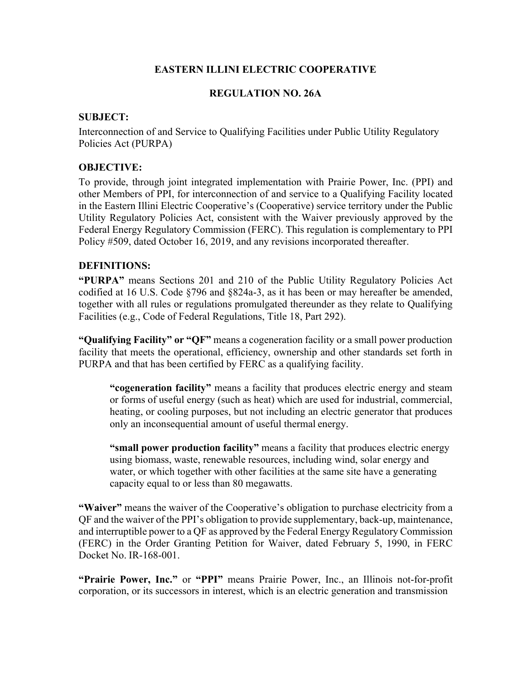# **EASTERN ILLINI ELECTRIC COOPERATIVE**

## **REGULATION NO. 26A**

### **SUBJECT:**

Interconnection of and Service to Qualifying Facilities under Public Utility Regulatory Policies Act (PURPA)

### **OBJECTIVE:**

To provide, through joint integrated implementation with Prairie Power, Inc. (PPI) and other Members of PPI, for interconnection of and service to a Qualifying Facility located in the Eastern Illini Electric Cooperative's (Cooperative) service territory under the Public Utility Regulatory Policies Act, consistent with the Waiver previously approved by the Federal Energy Regulatory Commission (FERC). This regulation is complementary to PPI Policy #509, dated October 16, 2019, and any revisions incorporated thereafter.

#### **DEFINITIONS:**

**"PURPA"** means Sections 201 and 210 of the Public Utility Regulatory Policies Act codified at 16 U.S. Code §796 and §824a-3, as it has been or may hereafter be amended, together with all rules or regulations promulgated thereunder as they relate to Qualifying Facilities (e.g., Code of Federal Regulations, Title 18, Part 292).

**"Qualifying Facility" or "QF"** means a cogeneration facility or a small power production facility that meets the operational, efficiency, ownership and other standards set forth in PURPA and that has been certified by FERC as a qualifying facility.

**"cogeneration facility"** means a facility that produces electric energy and steam or forms of useful energy (such as heat) which are used for industrial, commercial, heating, or cooling purposes, but not including an electric generator that produces only an inconsequential amount of useful thermal energy.

**"small power production facility"** means a facility that produces electric energy using biomass, waste, renewable resources, including wind, solar energy and water, or which together with other facilities at the same site have a generating capacity equal to or less than 80 megawatts.

**"Waiver"** means the waiver of the Cooperative's obligation to purchase electricity from a QF and the waiver of the PPI's obligation to provide supplementary, back-up, maintenance, and interruptible power to a QF as approved by the Federal Energy Regulatory Commission (FERC) in the Order Granting Petition for Waiver, dated February 5, 1990, in FERC Docket No. IR-168-001.

**"Prairie Power, Inc."** or **"PPI"** means Prairie Power, Inc., an Illinois not-for-profit corporation, or its successors in interest, which is an electric generation and transmission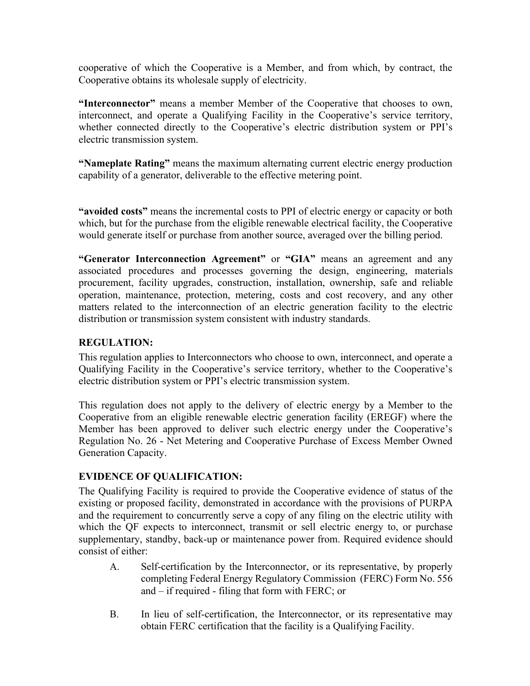cooperative of which the Cooperative is a Member, and from which, by contract, the Cooperative obtains its wholesale supply of electricity.

**"Interconnector"** means a member Member of the Cooperative that chooses to own, interconnect, and operate a Qualifying Facility in the Cooperative's service territory, whether connected directly to the Cooperative's electric distribution system or PPI's electric transmission system.

**"Nameplate Rating"** means the maximum alternating current electric energy production capability of a generator, deliverable to the effective metering point.

**"avoided costs"** means the incremental costs to PPI of electric energy or capacity or both which, but for the purchase from the eligible renewable electrical facility, the Cooperative would generate itself or purchase from another source, averaged over the billing period.

**"Generator Interconnection Agreement"** or **"GIA"** means an agreement and any associated procedures and processes governing the design, engineering, materials procurement, facility upgrades, construction, installation, ownership, safe and reliable operation, maintenance, protection, metering, costs and cost recovery, and any other matters related to the interconnection of an electric generation facility to the electric distribution or transmission system consistent with industry standards.

## **REGULATION:**

This regulation applies to Interconnectors who choose to own, interconnect, and operate a Qualifying Facility in the Cooperative's service territory, whether to the Cooperative's electric distribution system or PPI's electric transmission system.

This regulation does not apply to the delivery of electric energy by a Member to the Cooperative from an eligible renewable electric generation facility (EREGF) where the Member has been approved to deliver such electric energy under the Cooperative's Regulation No. 26 - Net Metering and Cooperative Purchase of Excess Member Owned Generation Capacity.

# **EVIDENCE OF QUALIFICATION:**

The Qualifying Facility is required to provide the Cooperative evidence of status of the existing or proposed facility, demonstrated in accordance with the provisions of PURPA and the requirement to concurrently serve a copy of any filing on the electric utility with which the QF expects to interconnect, transmit or sell electric energy to, or purchase supplementary, standby, back-up or maintenance power from. Required evidence should consist of either:

- A. Self-certification by the Interconnector, or its representative, by properly completing Federal Energy Regulatory Commission (FERC) Form No. 556 and – if required - filing that form with FERC; or
- B. In lieu of self-certification, the Interconnector, or its representative may obtain FERC certification that the facility is a Qualifying Facility.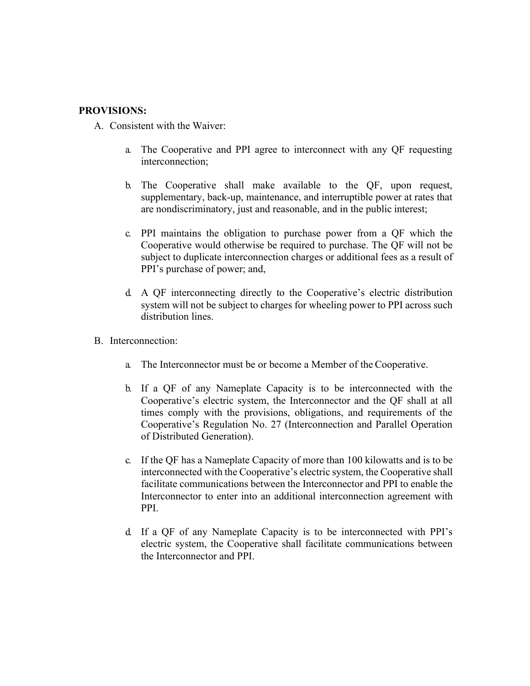### **PROVISIONS:**

- A. Consistent with the Waiver:
	- a. The Cooperative and PPI agree to interconnect with any QF requesting interconnection;
	- b. The Cooperative shall make available to the QF, upon request, supplementary, back-up, maintenance, and interruptible power at rates that are nondiscriminatory, just and reasonable, and in the public interest;
	- c. PPI maintains the obligation to purchase power from a QF which the Cooperative would otherwise be required to purchase. The QF will not be subject to duplicate interconnection charges or additional fees as a result of PPI's purchase of power; and,
	- d. A QF interconnecting directly to the Cooperative's electric distribution system will not be subject to charges for wheeling power to PPI across such distribution lines.
- B. Interconnection:
	- a. The Interconnector must be or become a Member of the Cooperative.
	- b. If a QF of any Nameplate Capacity is to be interconnected with the Cooperative's electric system, the Interconnector and the QF shall at all times comply with the provisions, obligations, and requirements of the Cooperative's Regulation No. 27 (Interconnection and Parallel Operation of Distributed Generation).
	- c. If the QF has a Nameplate Capacity of more than 100 kilowatts and is to be interconnected with the Cooperative's electric system, the Cooperative shall facilitate communications between the Interconnector and PPI to enable the Interconnector to enter into an additional interconnection agreement with PPI.
	- d. If a QF of any Nameplate Capacity is to be interconnected with PPI's electric system, the Cooperative shall facilitate communications between the Interconnector and PPI.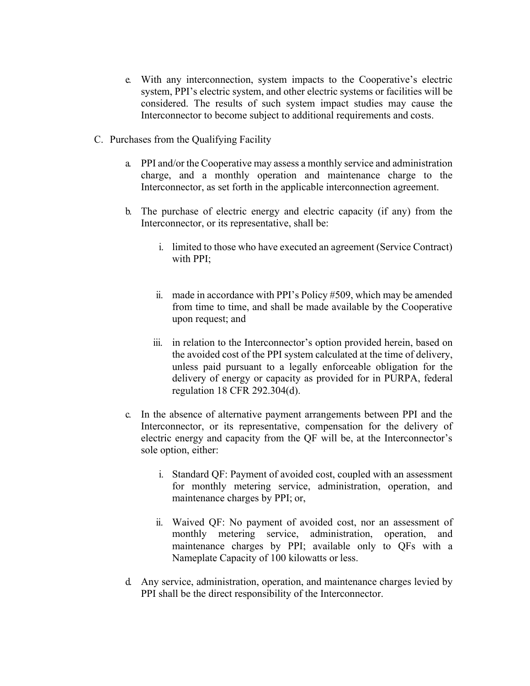- e. With any interconnection, system impacts to the Cooperative's electric system, PPI's electric system, and other electric systems or facilities will be considered. The results of such system impact studies may cause the Interconnector to become subject to additional requirements and costs.
- C. Purchases from the Qualifying Facility
	- a. PPI and/or the Cooperative may assess a monthly service and administration charge, and a monthly operation and maintenance charge to the Interconnector, as set forth in the applicable interconnection agreement.
	- b. The purchase of electric energy and electric capacity (if any) from the Interconnector, or its representative, shall be:
		- i. limited to those who have executed an agreement (Service Contract) with PPI;
		- ii. made in accordance with PPI's Policy #509, which may be amended from time to time, and shall be made available by the Cooperative upon request; and
		- iii. in relation to the Interconnector's option provided herein, based on the avoided cost of the PPI system calculated at the time of delivery, unless paid pursuant to a legally enforceable obligation for the delivery of energy or capacity as provided for in PURPA, federal regulation 18 CFR 292.304(d).
	- c. In the absence of alternative payment arrangements between PPI and the Interconnector, or its representative, compensation for the delivery of electric energy and capacity from the QF will be, at the Interconnector's sole option, either:
		- i. Standard QF: Payment of avoided cost, coupled with an assessment for monthly metering service, administration, operation, and maintenance charges by PPI; or,
		- ii. Waived QF: No payment of avoided cost, nor an assessment of monthly metering service, administration, operation, and maintenance charges by PPI; available only to QFs with a Nameplate Capacity of 100 kilowatts or less.
	- d. Any service, administration, operation, and maintenance charges levied by PPI shall be the direct responsibility of the Interconnector.